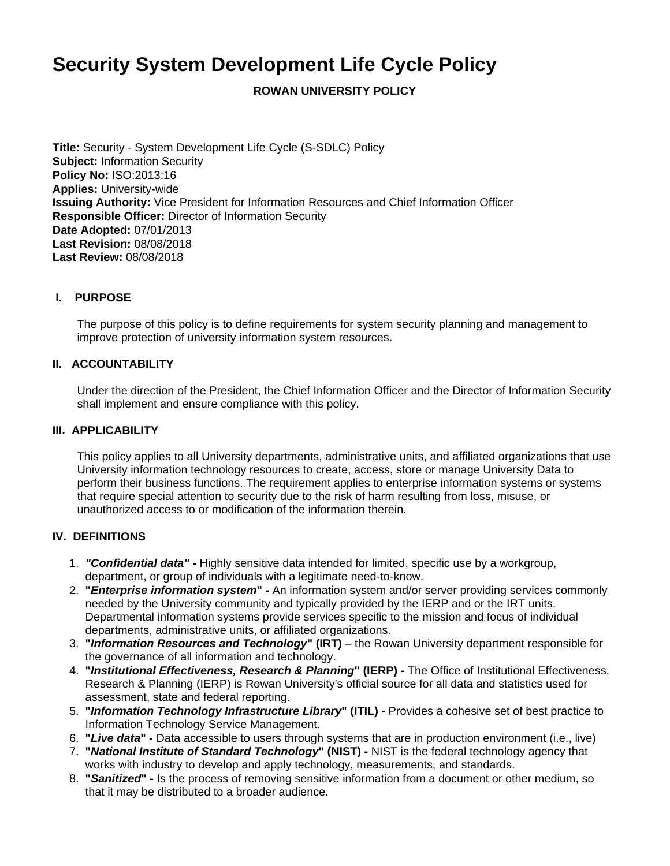# **Security System Development Life Cycle Policy**

**ROWAN UNIVERSITY POLICY**

**Title:** Security - System Development Life Cycle (S-SDLC) Policy **Subject:** Information Security **Policy No:** ISO:2013:16 **Applies:** University-wide **Issuing Authority:** Vice President for Information Resources and Chief Information Officer **Responsible Officer:** Director of Information Security **Date Adopted:** 07/01/2013 **Last Revision:** 08/08/2018 **Last Review:** 08/08/2018

# **I. PURPOSE**

The purpose of this policy is to define requirements for system security planning and management to improve protection of university information system resources.

# **II. ACCOUNTABILITY**

Under the direction of the President, the Chief Information Officer and the Director of Information Security shall implement and ensure compliance with this policy.

#### **III. APPLICABILITY**

This policy applies to all University departments, administrative units, and affiliated organizations that use University information technology resources to create, access, store or manage University Data to perform their business functions. The requirement applies to enterprise information systems or systems that require special attention to security due to the risk of harm resulting from loss, misuse, or unauthorized access to or modification of the information therein.

#### **IV. DEFINITIONS**

- 1. **"Confidential data" -** Highly sensitive data intended for limited, specific use by a workgroup, department, or group of individuals with a legitimate need-to-know.
- 2. **"Enterprise information system" -** An information system and/or server providing services commonly needed by the University community and typically provided by the IERP and or the IRT units. Departmental information systems provide services specific to the mission and focus of individual departments, administrative units, or affiliated organizations.
- 3. **"Information Resources and Technology" (IRT)** the Rowan University department responsible for the governance of all information and technology.
- 4. **"Institutional Effectiveness, Research & Planning" (IERP) -** The Office of Institutional Effectiveness, Research & Planning (IERP) is Rowan University's official source for all data and statistics used for assessment, state and federal reporting.
- 5. **"Information Technology Infrastructure Library" (ITIL) -** Provides a cohesive set of best practice to Information Technology Service Management.
- 6. **"Live data" -** Data accessible to users through systems that are in production environment (i.e., live)
- 7. **"National Institute of Standard Technology" (NIST) -** NIST is the federal technology agency that works with industry to develop and apply technology, measurements, and standards.
- 8. **"Sanitized" -** Is the process of removing sensitive information from a document or other medium, so that it may be distributed to a broader audience.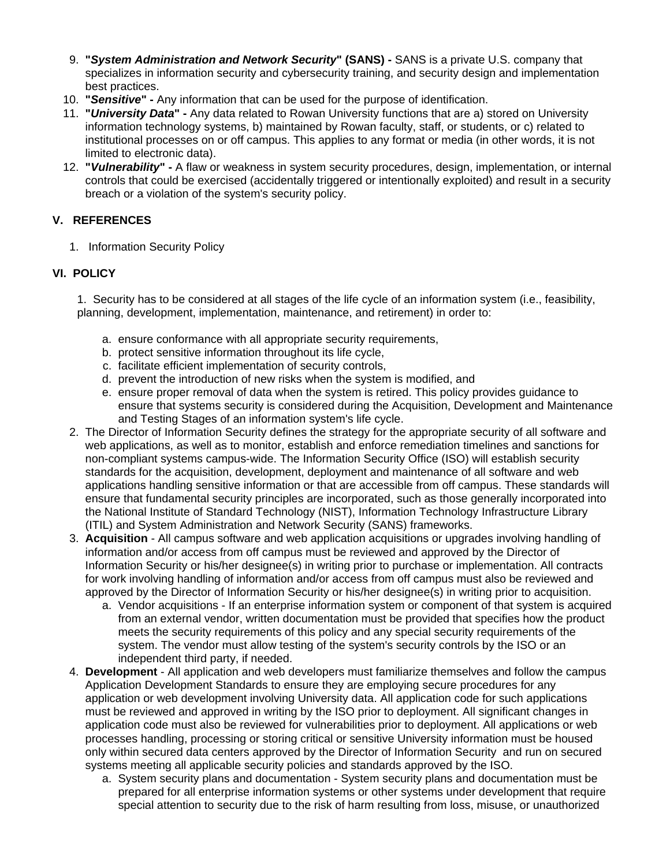- 9. **"System Administration and Network Security" (SANS) -** SANS is a private U.S. company that specializes in information security and cybersecurity training, and security design and implementation best practices.
- 10. **"Sensitive" -** Any information that can be used for the purpose of identification.
- 11. **"University Data" -** Any data related to Rowan University functions that are a) stored on University information technology systems, b) maintained by Rowan faculty, staff, or students, or c) related to institutional processes on or off campus. This applies to any format or media (in other words, it is not limited to electronic data).
- 12. **"Vulnerability" -** A flaw or weakness in system security procedures, design, implementation, or internal controls that could be exercised (accidentally triggered or intentionally exploited) and result in a security breach or a violation of the system's security policy.

# **V. REFERENCES**

1. Information Security Policy

# **VI. POLICY**

1. Security has to be considered at all stages of the life cycle of an information system (i.e., feasibility, planning, development, implementation, maintenance, and retirement) in order to:

- a. ensure conformance with all appropriate security requirements,
- b. protect sensitive information throughout its life cycle,
- c. facilitate efficient implementation of security controls,
- d. prevent the introduction of new risks when the system is modified, and
- e. ensure proper removal of data when the system is retired. This policy provides guidance to ensure that systems security is considered during the Acquisition, Development and Maintenance and Testing Stages of an information system's life cycle.
- 2. The Director of Information Security defines the strategy for the appropriate security of all software and web applications, as well as to monitor, establish and enforce remediation timelines and sanctions for non-compliant systems campus-wide. The Information Security Office (ISO) will establish security standards for the acquisition, development, deployment and maintenance of all software and web applications handling sensitive information or that are accessible from off campus. These standards will ensure that fundamental security principles are incorporated, such as those generally incorporated into the National Institute of Standard Technology (NIST), Information Technology Infrastructure Library (ITIL) and System Administration and Network Security (SANS) frameworks.
- 3. **Acquisition** All campus software and web application acquisitions or upgrades involving handling of information and/or access from off campus must be reviewed and approved by the Director of Information Security or his/her designee(s) in writing prior to purchase or implementation. All contracts for work involving handling of information and/or access from off campus must also be reviewed and approved by the Director of Information Security or his/her designee(s) in writing prior to acquisition.
	- a. Vendor acquisitions If an enterprise information system or component of that system is acquired from an external vendor, written documentation must be provided that specifies how the product meets the security requirements of this policy and any special security requirements of the system. The vendor must allow testing of the system's security controls by the ISO or an independent third party, if needed.
- 4. **Development** All application and web developers must familiarize themselves and follow the campus Application Development Standards to ensure they are employing secure procedures for any application or web development involving University data. All application code for such applications must be reviewed and approved in writing by the ISO prior to deployment. All significant changes in application code must also be reviewed for vulnerabilities prior to deployment. All applications or web processes handling, processing or storing critical or sensitive University information must be housed only within secured data centers approved by the Director of Information Security and run on secured systems meeting all applicable security policies and standards approved by the ISO.
	- a. System security plans and documentation System security plans and documentation must be prepared for all enterprise information systems or other systems under development that require special attention to security due to the risk of harm resulting from loss, misuse, or unauthorized